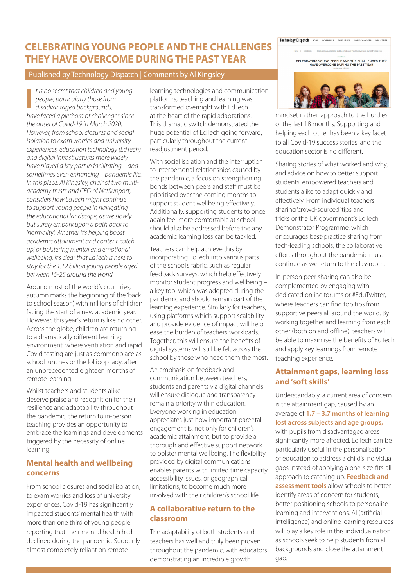# **CELEBRATING YOUNG PEOPLE AND THE CHALLENGES THEY HAVE OVERCOME DURING THE PAST YEAR**

#### Published by Technology Dispatch | Comments by Al Kingsley

*t is no secret that children and young people, particularly those from disadvantaged backgrounds,* **I** *have faced a plethora of challenges since the onset of Covid-19 in March 2020. However, from school closures and social isolation to exam worries and university experiences, education technology (EdTech) and digital infrastructures more widely have played a key part in facilitating – and sometimes even enhancing – pandemic life. In this piece, Al Kingsley, chair of two multiacademy trusts and CEO of NetSupport, considers how EdTech might continue to support young people in navigating the educational landscape, as we slowly but surely embark upon a path back to 'normality'. Whether it's helping boost academic attainment and content 'catch up', or bolstering mental and emotional wellbeing, it's clear that EdTech is here to stay for the 1.12 billion young people aged between 15-25 around the world.*

Around most of the world's countries, autumn marks the beginning of the 'back to school season', with millions of children facing the start of a new academic year. However, this year's return is like no other. Across the globe, children are returning to a dramatically different learning environment, where ventilation and rapid Covid testing are just as commonplace as school lunches or the lollipop lady, after an unprecedented eighteen months of remote learning.

Whilst teachers and students alike deserve praise and recognition for their resilience and adaptability throughout the pandemic, the return to in-person teaching provides an opportunity to embrace the learnings and developments triggered by the necessity of online learning.

#### **Mental health and wellbeing concerns**

From school closures and social isolation, to exam worries and loss of university experiences, Covid-19 has significantly impacted students' mental health with more than one third of young people reporting that their mental health had declined during the pandemic. Suddenly almost completely reliant on remote

learning technologies and communication platforms, teaching and learning was transformed overnight with EdTech at the heart of the rapid adaptations. This dramatic switch demonstrated the huge potential of EdTech going forward, particularly throughout the current readjustment period.

With social isolation and the interruption to interpersonal relationships caused by the pandemic, a focus on strengthening bonds between peers and staff must be prioritised over the coming months to support student wellbeing effectively. Additionally, supporting students to once again feel more comfortable at school should also be addressed before the any academic learning loss can be tackled.

Teachers can help achieve this by incorporating EdTech into various parts of the school's fabric, such as regular feedback surveys, which help effectively monitor student progress and wellbeing – a key tool which was adopted during the pandemic and should remain part of the learning experience. Similarly for teachers, using platforms which support scalability and provide evidence of impact will help ease the burden of teachers' workloads. Together, this will ensure the benefits of digital systems will still be felt across the school by those who need them the most.

An emphasis on feedback and communication between teachers, students and parents via digital channels will ensure dialogue and transparency remain a priority within education. Everyone working in education appreciates just how important parental engagement is, not only for children's academic attainment, but to provide a thorough and effective support network to bolster mental wellbeing. The flexibility provided by digital communications enables parents with limited time capacity, accessibility issues, or geographical limitations, to become much more involved with their children's school life.

## **A collaborative return to the classroom**

The adaptability of both students and teachers has well and truly been proven throughout the pandemic, with educators demonstrating an incredible growth



mindset in their approach to the hurdles of the last 18 months. Supporting and helping each other has been a key facet to all Covid-19 success stories, and the education sector is no different.

Sharing stories of what worked and why, and advice on how to better support students, empowered teachers and students alike to adapt quickly and effectively. From individual teachers sharing 'crowd-sourced' tips and tricks or the UK government's EdTech Demonstrator Programme, which encourages best-practice sharing from tech-leading schools, the collaborative efforts throughout the pandemic must continue as we return to the classroom.

In-person peer sharing can also be complemented by engaging with dedicated online forums or #EduTwitter, where teachers can find top tips from supportive peers all around the world. By working together and learning from each other (both on and offline), teachers will be able to maximise the benefits of EdTech and apply key learnings from remote teaching experience.

### **Attainment gaps, learning loss and 'soft skills'**

Understandably, a current area of concern is the attainment gap, caused by an average of **1.7 – 3.7 months of learning lost across subjects and age groups,** with pupils from disadvantaged areas significantly more affected. EdTech can be particularly useful in the personalisation of education to address a child's individual gaps instead of applying a one-size-fits-all approach to catching up. **Feedback and assessment tools** allow schools to better identify areas of concern for students, better positioning schools to personalise learning and interventions. AI (artificial intelligence) and online learning resources will play a key role in this individualisation as schools seek to help students from all backgrounds and close the attainment gap.